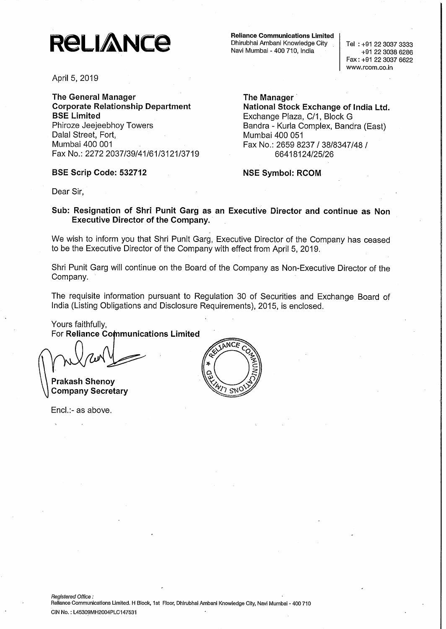# **RELIANCE**

April 5, 2019

The Genera) Manager Corporate Relationship Department BSE Limited Phiroze Jeejeebhoy Towers Dalal Street, Fort, Mumbai 400 001 Fax No.: 2272 2037/39/41/61/3121/3719

#### BSE Scrip Code: 532712

Reliance Communications Limited Dhirubhai Ambani Knowledge City Navi Mumbai - 400 710, India

Tel : +91 22 3037 3333 +91 22 3038 6286 Fax: +91 22 3037 6622 www.rcom.co.in

The Manager National Stock Exchange of India Ltd. Exchange Plaza, C/1, Block G Sandra - Kurla Complex, Sandra (East) Mumbai 400 051 Fax No.: 2659 8237 / 38/8347/48 / 66418124/25/26

NSE Symbol: RCOM

Dear Sir,

#### Sub: Resignation of Shri Punit Garg as an Executive Director and continue as Non Executive Director of the Company.

We wish to inform you that Shri Punit Garg, Executive Director of the Company has ceased to be the Executive Director of the Company with effect from April 5, 2019.

Shri Punit Garg will continue on the Board of the Company as Non-Executive Director of the Company.

The requisite information pursuant to Regulation 30 of Securities and Exchange Board of India (Listing Obligations and Disclosure Requirements), 2015, is enclosed.

Yours faithfully. For Reliance Communications Limited

Prakash Shenoy Company Secretary

Encl.:- as above.